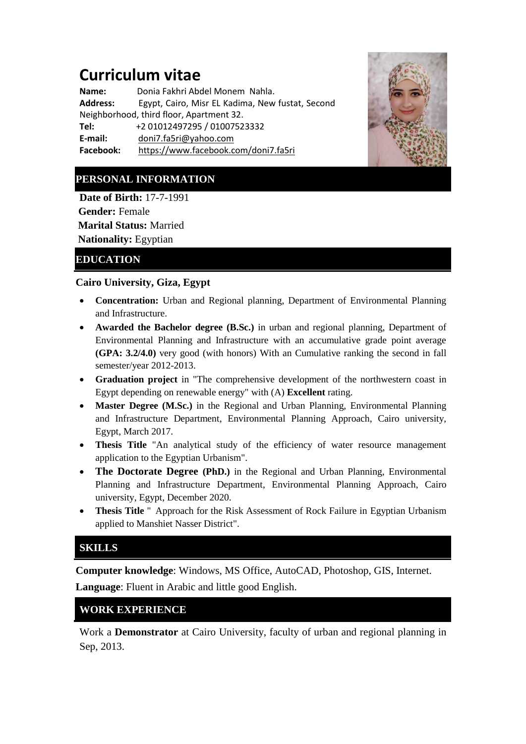# **Curriculum vitae**

**Name:** Donia Fakhri Abdel Monem Nahla.<br>**Address:** Egypt. Cairo. Misr EL Kadima, New **Address:** Egypt, Cairo, Misr EL Kadima, New fustat, Second Neighborhood, third floor, Apartment 32. **Tel:** +2 01012497295 / 01007523332 **E-mail:** [doni7.fa5ri@yahoo.com](mailto:doni7.fa5ri@yahoo.com) **Facebook:** <https://www.facebook.com/doni7.fa5ri>



# **PERSONAL INFORMATION**

**Date of Birth:** 17-7-1991 **Gender:** Female **Marital Status:** Married

**Nationality:** Egyptian

### **EDUCATION**

#### **Cairo University, Giza, Egypt**

- **Concentration:** Urban and Regional planning, Department of Environmental Planning and Infrastructure.
- **Awarded the Bachelor degree (B.Sc.)** in urban and regional planning, Department of Environmental Planning and Infrastructure with an accumulative grade point average **(GPA: 3.2/4.0)** very good (with honors) With an Cumulative ranking the second in fall semester/year 2012-2013.
- **Graduation project** in "The comprehensive development of the northwestern coast in Egypt depending on renewable energy" with (A) **Excellent** rating.
- **Master Degree (M.Sc.)** in the Regional and Urban Planning, Environmental Planning and Infrastructure Department, Environmental Planning Approach, Cairo university, Egypt, March 2017.
- **Thesis Title** "An analytical study of the efficiency of water resource management application to the Egyptian Urbanism".
- **The Doctorate Degree (PhD.)** in the Regional and Urban Planning, Environmental Planning and Infrastructure Department, Environmental Planning Approach, Cairo university, Egypt, December 2020.
- **Thesis Title** " Approach for the Risk Assessment of Rock Failure in Egyptian Urbanism applied to Manshiet Nasser District".

## **SKILLS**

**Computer knowledge**: Windows, MS Office, AutoCAD, Photoshop, GIS, Internet.

**Language**: Fluent in Arabic and little good English.

#### **WORK EXPERIENCE**

Work a **Demonstrator** at Cairo University, faculty of urban and regional planning in Sep, 2013.